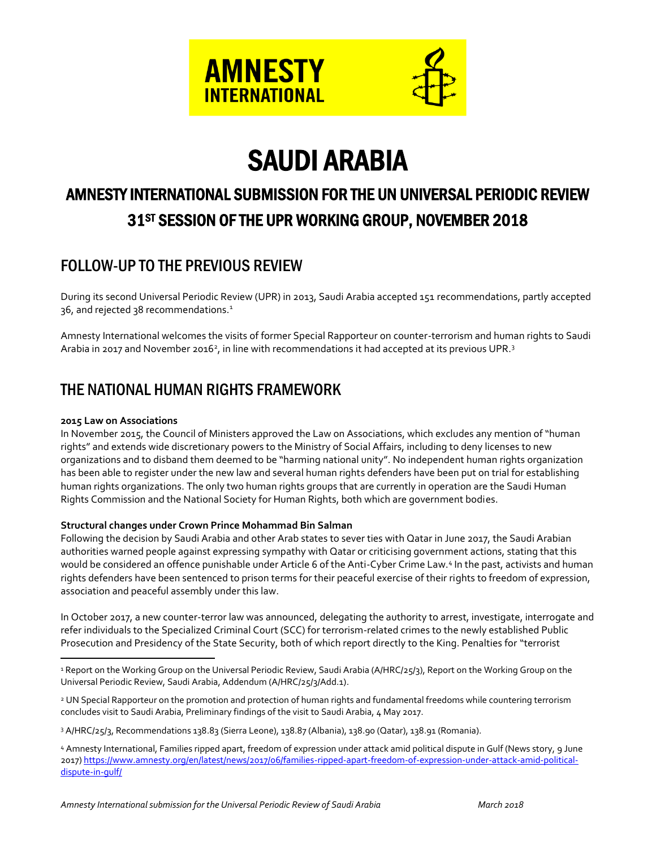

# SAUDI ARABIA

# AMNESTY INTERNATIONAL SUBMISSION FOR THE UN UNIVERSAL PERIODIC REVIEW 31ST SESSION OF THE UPR WORKING GROUP, NOVEMBER 2018

# FOLLOW-UP TO THE PREVIOUS REVIEW

During its second Universal Periodic Review (UPR) in 2013, Saudi Arabia accepted 151 recommendations, partly accepted 36, and rejected 38 recommendations.<sup>1</sup>

Amnesty International welcomes the visits of former Special Rapporteur on counter-terrorism and human rights to Saudi Arabia in 2017 and November 2016<sup>2</sup>, in line with recommendations it had accepted at its previous UPR.<sup>3</sup>

# THE NATIONAL HUMAN RIGHTS FRAMEWORK

#### **2015 Law on Associations**

 $\overline{a}$ 

In November 2015, the Council of Ministers approved the Law on Associations, which excludes any mention of "human rights" and extends wide discretionary powers to the Ministry of Social Affairs, including to deny licenses to new organizations and to disband them deemed to be "harming national unity". No independent human rights organization has been able to register under the new law and several human rights defenders have been put on trial for establishing human rights organizations. The only two human rights groups that are currently in operation are the Saudi Human Rights Commission and the National Society for Human Rights, both which are government bodies.

#### **Structural changes under Crown Prince Mohammad Bin Salman**

Following the decision by Saudi Arabia and other Arab states to sever ties with Qatar in June 2017, the Saudi Arabian authorities warned people against expressing sympathy with Qatar or criticising government actions, stating that this would be considered an offence punishable under Article 6 of the Anti-Cyber Crime Law.4 In the past, activists and human rights defenders have been sentenced to prison terms for their peaceful exercise of their rights to freedom of expression, association and peaceful assembly under this law.

In October 2017, a new counter-terror law was announced, delegating the authority to arrest, investigate, interrogate and refer individuals to the Specialized Criminal Court (SCC) for terrorism-related crimes to the newly established Public Prosecution and Presidency of the State Security, both of which report directly to the King. Penalties for "terrorist

<sup>2</sup> UN Special Rapporteur on the promotion and protection of human rights and fundamental freedoms while countering terrorism concludes visit to Saudi Arabia, Preliminary findings of the visit to Saudi Arabia, 4 May 2017.

<sup>3</sup> A/HRC/25/3, Recommendations 138.83 (Sierra Leone), 138.87 (Albania), 138.90 (Qatar), 138.91 (Romania).

<sup>&</sup>lt;sup>1</sup> Report on the Working Group on the Universal Periodic Review, Saudi Arabia (A/HRC/25/3), Report on the Working Group on the Universal Periodic Review, Saudi Arabia, Addendum (A/HRC/25/3/Add.1).

<sup>4</sup> Amnesty International, Families ripped apart, freedom of expression under attack amid political dispute in Gulf (News story, 9 June 2017[\) https://www.amnesty.org/en/latest/news/2017/06/families-ripped-apart-freedom-of-expression-under-attack-amid-political](https://www.amnesty.org/en/latest/news/2017/06/families-ripped-apart-freedom-of-expression-under-attack-amid-political-dispute-in-gulf/)[dispute-in-gulf/](https://www.amnesty.org/en/latest/news/2017/06/families-ripped-apart-freedom-of-expression-under-attack-amid-political-dispute-in-gulf/)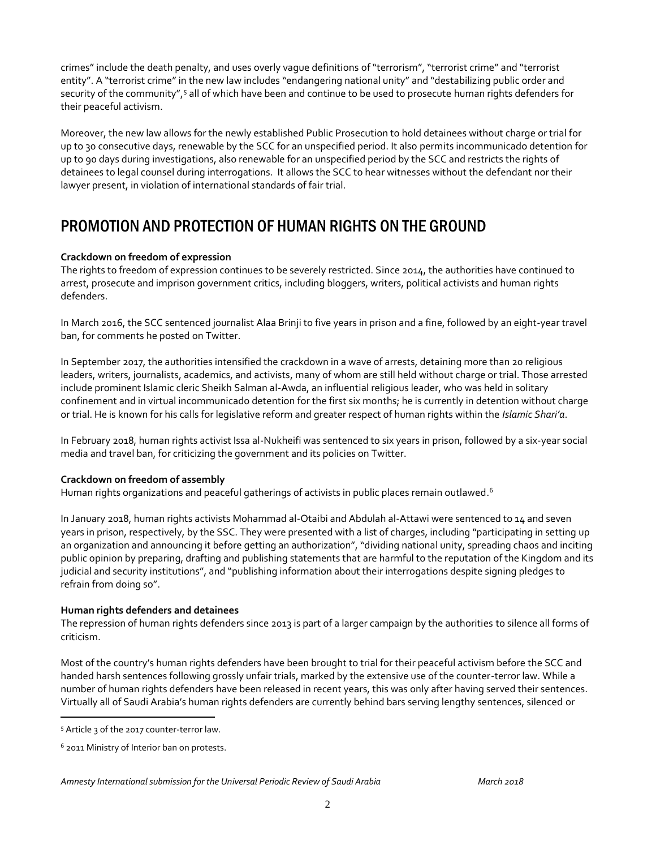crimes" include the death penalty, and uses overly vague definitions of "terrorism", "terrorist crime" and "terrorist entity". A "terrorist crime" in the new law includes "endangering national unity" and "destabilizing public order and security of the community",<sup>5</sup> all of which have been and continue to be used to prosecute human rights defenders for their peaceful activism.

Moreover, the new law allows for the newly established Public Prosecution to hold detainees without charge or trial for up to 30 consecutive days, renewable by the SCC for an unspecified period. It also permits incommunicado detention for up to 90 days during investigations, also renewable for an unspecified period by the SCC and restricts the rights of detainees to legal counsel during interrogations. It allows the SCC to hear witnesses without the defendant nor their lawyer present, in violation of international standards of fair trial.

## PROMOTION AND PROTECTION OF HUMAN RIGHTS ON THE GROUND

#### **Crackdown on freedom of expression**

The rights to freedom of expression continues to be severely restricted. Since 2014, the authorities have continued to arrest, prosecute and imprison government critics, including bloggers, writers, political activists and human rights defenders.

In March 2016, the SCC sentenced journalist Alaa Brinji to five years in prison and a fine, followed by an eight-year travel ban, for comments he posted on Twitter.

In September 2017, the authorities intensified the crackdown in a wave of arrests, detaining more than 20 religious leaders, writers, journalists, academics, and activists, many of whom are still held without charge or trial. Those arrested include prominent Islamic cleric Sheikh Salman al-Awda, an influential religious leader, who was held in solitary confinement and in virtual incommunicado detention for the first six months; he is currently in detention without charge or trial. He is known for his calls for legislative reform and greater respect of human rights within the *Islamic Shari'a*.

In February 2018, human rights activist Issa al-Nukheifi was sentenced to six years in prison, followed by a six-year social media and travel ban, for criticizing the government and its policies on Twitter.

#### **Crackdown on freedom of assembly**

Human rights organizations and peaceful gatherings of activists in public places remain outlawed. $^{\rm 6}$ 

In January 2018, human rights activists Mohammad al-Otaibi and Abdulah al-Attawi were sentenced to 14 and seven years in prison, respectively, by the SSC. They were presented with a list of charges, including "participating in setting up an organization and announcing it before getting an authorization", "dividing national unity, spreading chaos and inciting public opinion by preparing, drafting and publishing statements that are harmful to the reputation of the Kingdom and its judicial and security institutions", and "publishing information about their interrogations despite signing pledges to refrain from doing so".

#### **Human rights defenders and detainees**

The repression of human rights defenders since 2013 is part of a larger campaign by the authorities to silence all forms of criticism.

Most of the country's human rights defenders have been brought to trial for their peaceful activism before the SCC and handed harsh sentences following grossly unfair trials, marked by the extensive use of the counter-terror law. While a number of human rights defenders have been released in recent years, this was only after having served their sentences. Virtually all of Saudi Arabia's human rights defenders are currently behind bars serving lengthy sentences, silenced or

 $\overline{a}$ 

<sup>5</sup> Article 3 of the 2017 counter-terror law.

<sup>6</sup> 2011 Ministry of Interior ban on protests.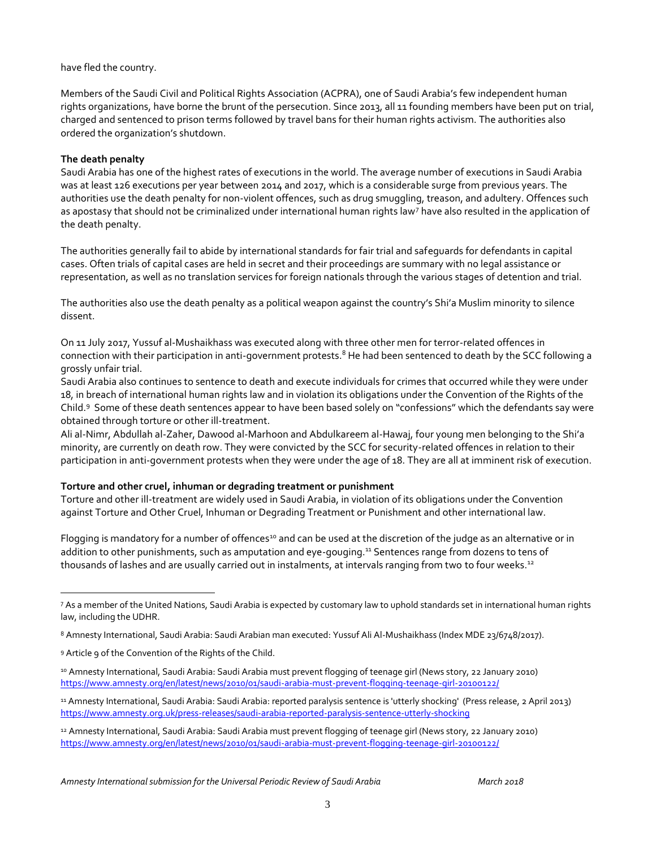have fled the country.

Members of the Saudi Civil and Political Rights Association (ACPRA), one of Saudi Arabia's few independent human rights organizations, have borne the brunt of the persecution. Since 2013, all 11 founding members have been put on trial, charged and sentenced to prison terms followed by travel bans for their human rights activism. The authorities also ordered the organization's shutdown.

#### **The death penalty**

Saudi Arabia has one of the highest rates of executions in the world. The average number of executions in Saudi Arabia was at least 126 executions per year between 2014 and 2017, which is a considerable surge from previous years. The authorities use the death penalty for non-violent offences, such as drug smuggling, treason, and adultery. Offences such as apostasy that should not be criminalized under international human rights law<sup>7</sup> have also resulted in the application of the death penalty.

The authorities generally fail to abide by international standards for fair trial and safeguards for defendants in capital cases. Often trials of capital cases are held in secret and their proceedings are summary with no legal assistance or representation, as well as no translation services for foreign nationals through the various stages of detention and trial.

The authorities also use the death penalty as a political weapon against the country's Shi'a Muslim minority to silence dissent.

On 11 July 2017, Yussuf al-Mushaikhass was executed along with three other men for terror-related offences in connection with their participation in anti-government protests.<sup>8</sup> He had been sentenced to death by the SCC following a grossly unfair trial.

Saudi Arabia also continues to sentence to death and execute individuals for crimes that occurred while they were under 18, in breach of international human rights law and in violation its obligations under the Convention of the Rights of the Child.<sup>9</sup> Some of these death sentences appear to have been based solely on "confessions" which the defendants say were obtained through torture or other ill-treatment.

Ali al-Nimr, Abdullah al-Zaher, Dawood al-Marhoon and Abdulkareem al-Hawaj, four young men belonging to the Shi'a minority, are currently on death row. They were convicted by the SCC for security-related offences in relation to their participation in anti-government protests when they were under the age of 18. They are all at imminent risk of execution.

#### **Torture and other cruel, inhuman or degrading treatment or punishment**

Torture and other ill-treatment are widely used in Saudi Arabia, in violation of its obligations under the Convention against Torture and Other Cruel, Inhuman or Degrading Treatment or Punishment and other international law.

Flogging is mandatory for a number of offences<sup>10</sup> and can be used at the discretion of the judge as an alternative or in addition to other punishments, such as amputation and eye-gouging.<sup>11</sup> Sentences range from dozens to tens of thousands of lashes and are usually carried out in instalments, at intervals ranging from two to four weeks.<sup>12</sup>

 $\overline{a}$ 

<sup>7</sup> As a member of the United Nations, Saudi Arabia is expected by customary law to uphold standards set in international human rights law, including the UDHR.

<sup>8</sup> Amnesty International, Saudi Arabia: Saudi Arabian man executed: Yussuf Ali Al-Mushaikhass (Index MDE 23/6748/2017).

<sup>9</sup> Article 9 of the Convention of the Rights of the Child.

<sup>10</sup> Amnesty International, Saudi Arabia: Saudi Arabia must prevent flogging of teenage girl (News story, 22 January 2010) <https://www.amnesty.org/en/latest/news/2010/01/saudi-arabia-must-prevent-flogging-teenage-girl-20100122/>

<sup>11</sup> Amnesty International, Saudi Arabia: Saudi Arabia: reported paralysis sentence is 'utterly shocking' (Press release, 2 April 2013) <https://www.amnesty.org.uk/press-releases/saudi-arabia-reported-paralysis-sentence-utterly-shocking>

<sup>12</sup> Amnesty International, Saudi Arabia: Saudi Arabia must prevent flogging of teenage girl (News story, 22 January 2010) <https://www.amnesty.org/en/latest/news/2010/01/saudi-arabia-must-prevent-flogging-teenage-girl-20100122/>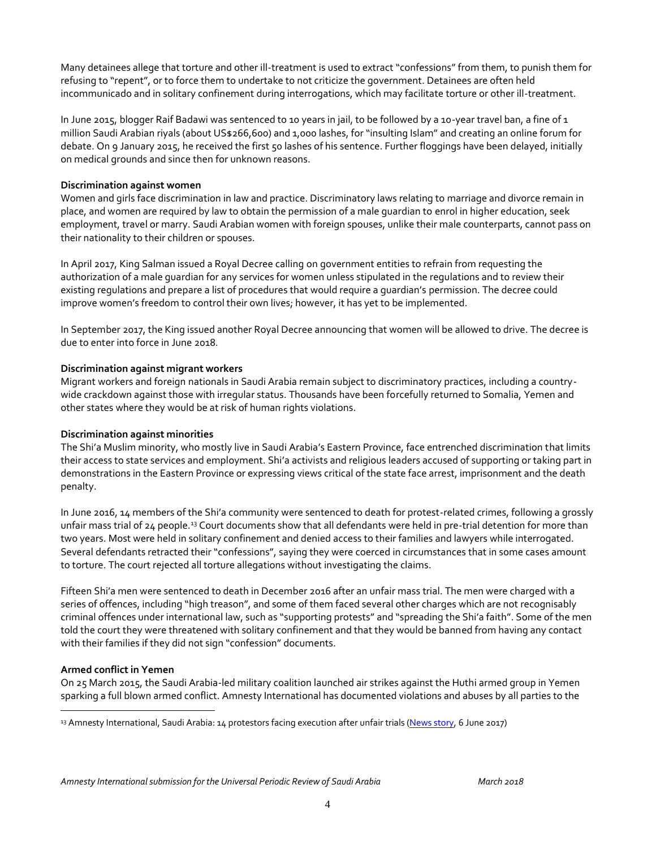Many detainees allege that torture and other ill-treatment is used to extract "confessions" from them, to punish them for refusing to "repent", or to force them to undertake to not criticize the government. Detainees are often held incommunicado and in solitary confinement during interrogations, which may facilitate torture or other ill-treatment.

In June 2015, blogger Raif Badawi was sentenced to 10 years in jail, to be followed by a 10-year travel ban, a fine of 1 million Saudi Arabian riyals (about US\$266,600) and 1,000 lashes, for "insulting Islam" and creating an online forum for debate. On 9 January 2015, he received the first 50 lashes of his sentence. Further floggings have been delayed, initially on medical grounds and since then for unknown reasons.

#### **Discrimination against women**

Women and girls face discrimination in law and practice. Discriminatory laws relating to marriage and divorce remain in place, and women are required by law to obtain the permission of a male guardian to enrol in higher education, seek employment, travel or marry. Saudi Arabian women with foreign spouses, unlike their male counterparts, cannot pass on their nationality to their children or spouses.

In April 2017, King Salman issued a Royal Decree calling on government entities to refrain from requesting the authorization of a male guardian for any services for women unless stipulated in the regulations and to review their existing regulations and prepare a list of procedures that would require a guardian's permission. The decree could improve women's freedom to control their own lives; however, it has yet to be implemented.

In September 2017, the King issued another Royal Decree announcing that women will be allowed to drive. The decree is due to enter into force in June 2018.

#### **Discrimination against migrant workers**

Migrant workers and foreign nationals in Saudi Arabia remain subject to discriminatory practices, including a countrywide crackdown against those with irregular status. Thousands have been forcefully returned to Somalia, Yemen and other states where they would be at risk of human rights violations.

#### **Discrimination against minorities**

The Shi'a Muslim minority, who mostly live in Saudi Arabia's Eastern Province, face entrenched discrimination that limits their access to state services and employment. Shi'a activists and religious leaders accused of supporting or taking part in demonstrations in the Eastern Province or expressing views critical of the state face arrest, imprisonment and the death penalty.

In June 2016, 14 members of the Shi'a community were sentenced to death for protest-related crimes, following a grossly unfair mass trial of 24 people.<sup>13</sup> Court documents show that all defendants were held in pre-trial detention for more than two years. Most were held in solitary confinement and denied access to their families and lawyers while interrogated. Several defendants retracted their "confessions", saying they were coerced in circumstances that in some cases amount to torture. The court rejected all torture allegations without investigating the claims.

Fifteen Shi'a men were sentenced to death in December 2016 after an unfair mass trial. The men were charged with a series of offences, including "high treason", and some of them faced several other charges which are not recognisably criminal offences under international law, such as "supporting protests" and "spreading the Shi'a faith". Some of the men told the court they were threatened with solitary confinement and that they would be banned from having any contact with their families if they did not sign "confession" documents.

#### **Armed conflict in Yemen**

 $\overline{a}$ 

On 25 March 2015, the Saudi Arabia-led military coalition launched air strikes against the Huthi armed group in Yemen sparking a full blown armed conflict. Amnesty International has documented violations and abuses by all parties to the

<sup>13</sup> Amnesty International, Saudi Arabia: 14 protestors facing execution after unfair trials [\(News story,](https://www.amnesty.org/en/latest/news/2017/06/saudi-arabia-14-protesters-facing-execution-after-unfair-trials/) 6 June 2017)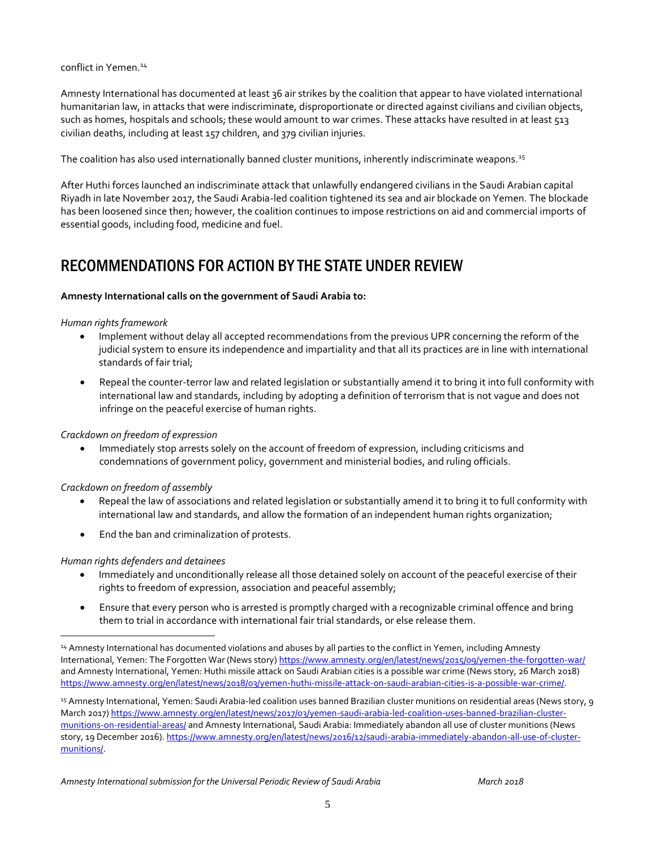conflict in Yemen.<sup>14</sup>

Amnesty International has documented at least 36 air strikes by the coalition that appear to have violated international humanitarian law, in attacks that were indiscriminate, disproportionate or directed against civilians and civilian objects, such as homes, hospitals and schools; these would amount to war crimes. These attacks have resulted in at least 513 civilian deaths, including at least 157 children, and 379 civilian injuries.

The coalition has also used internationally banned cluster munitions, inherently indiscriminate weapons.<sup>15</sup>

After Huthi forces launched an indiscriminate attack that unlawfully endangered civilians in the Saudi Arabian capital Riyadh in late November 2017, the Saudi Arabia-led coalition tightened its sea and air blockade on Yemen. The blockade has been loosened since then; however, the coalition continues to impose restrictions on aid and commercial imports of essential goods, including food, medicine and fuel.

### RECOMMENDATIONS FOR ACTION BY THE STATE UNDER REVIEW

#### **Amnesty International calls on the government of Saudi Arabia to:**

#### *Human rights framework*

- Implement without delay all accepted recommendations from the previous UPR concerning the reform of the judicial system to ensure its independence and impartiality and that all its practices are in line with international standards of fair trial;
- Repeal the counter-terror law and related legislation or substantially amend it to bring it into full conformity with international law and standards, including by adopting a definition of terrorism that is not vague and does not infringe on the peaceful exercise of human rights.

#### *Crackdown on freedom of expression*

 Immediately stop arrests solely on the account of freedom of expression, including criticisms and condemnations of government policy, government and ministerial bodies, and ruling officials.

#### *Crackdown on freedom of assembly*

- Repeal the law of associations and related legislation or substantially amend it to bring it to full conformity with international law and standards, and allow the formation of an independent human rights organization;
- End the ban and criminalization of protests.

#### *Human rights defenders and detainees*

 $\overline{a}$ 

- Immediately and unconditionally release all those detained solely on account of the peaceful exercise of their rights to freedom of expression, association and peaceful assembly;
- Ensure that every person who is arrested is promptly charged with a recognizable criminal offence and bring them to trial in accordance with international fair trial standards, or else release them.

<sup>14</sup> Amnesty International has documented violations and abuses by all parties to the conflict in Yemen, including Amnesty International, Yemen: The Forgotten War (News story[\) https://www.amnesty.org/en/latest/news/2015/09/yemen-the-forgotten-war/](https://www.amnesty.org/en/latest/news/2015/09/yemen-the-forgotten-war/) and Amnesty International, Yemen: Huthi missile attack on Saudi Arabian cities is a possible war crime (News story, 26 March 2018) [https://www.amnesty.org/en/latest/news/2018/03/yemen-huthi-missile-attack-on-saudi-arabian-cities-is-a-possible-war-crime/.](https://www.amnesty.org/en/latest/news/2018/03/yemen-huthi-missile-attack-on-saudi-arabian-cities-is-a-possible-war-crime/)

<sup>15</sup> Amnesty International, Yemen: Saudi Arabia-led coalition uses banned Brazilian cluster munitions on residential areas (News story, 9 March 2017[\) https://www.amnesty.org/en/latest/news/2017/03/yemen-saudi-arabia-led-coalition-uses-banned-brazilian-cluster](https://www.amnesty.org/en/latest/news/2017/03/yemen-saudi-arabia-led-coalition-uses-banned-brazilian-cluster-munitions-on-residential-areas/)[munitions-on-residential-areas/](https://www.amnesty.org/en/latest/news/2017/03/yemen-saudi-arabia-led-coalition-uses-banned-brazilian-cluster-munitions-on-residential-areas/) and Amnesty International, Saudi Arabia: Immediately abandon all use of cluster munitions (News story, 19 December 2016)[. https://www.amnesty.org/en/latest/news/2016/12/saudi-arabia-immediately-abandon-all-use-of-cluster](https://www.amnesty.org/en/latest/news/2016/12/saudi-arabia-immediately-abandon-all-use-of-cluster-munitions/)[munitions/.](https://www.amnesty.org/en/latest/news/2016/12/saudi-arabia-immediately-abandon-all-use-of-cluster-munitions/)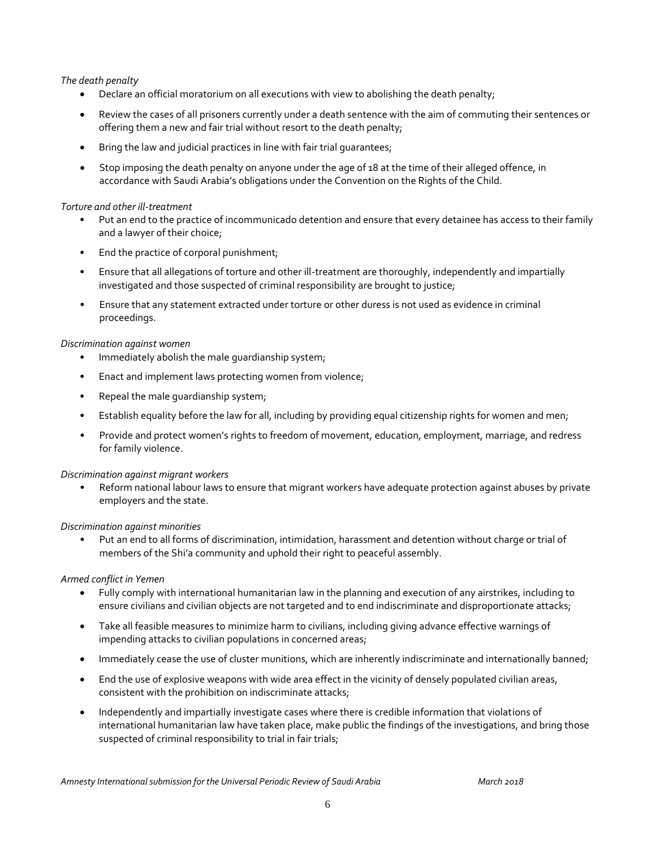#### *The death penalty*

- **•** Declare an official moratorium on all executions with view to abolishing the death penalty;
- Review the cases of all prisoners currently under a death sentence with the aim of commuting their sentences or offering them a new and fair trial without resort to the death penalty;
- Bring the law and judicial practices in line with fair trial guarantees;
- Stop imposing the death penalty on anyone under the age of 18 at the time of their alleged offence, in accordance with Saudi Arabia's obligations under the Convention on the Rights of the Child.

#### *Torture and other ill-treatment*

- Put an end to the practice of incommunicado detention and ensure that every detainee has access to their family and a lawyer of their choice;
- End the practice of corporal punishment;
- Ensure that all allegations of torture and other ill-treatment are thoroughly, independently and impartially investigated and those suspected of criminal responsibility are brought to justice;
- Ensure that any statement extracted under torture or other duress is not used as evidence in criminal proceedings.

#### *Discrimination against women*

- Immediately abolish the male guardianship system;
- Enact and implement laws protecting women from violence;
- Repeal the male guardianship system;
- Establish equality before the law for all, including by providing equal citizenship rights for women and men;
- Provide and protect women's rights to freedom of movement, education, employment, marriage, and redress for family violence.

#### *Discrimination against migrant workers*

• Reform national labour laws to ensure that migrant workers have adequate protection against abuses by private employers and the state.

#### *Discrimination against minorities*

• Put an end to all forms of discrimination, intimidation, harassment and detention without charge or trial of members of the Shi'a community and uphold their right to peaceful assembly.

#### *Armed conflict in Yemen*

- Fully comply with international humanitarian law in the planning and execution of any airstrikes, including to ensure civilians and civilian objects are not targeted and to end indiscriminate and disproportionate attacks;
- Take all feasible measures to minimize harm to civilians, including giving advance effective warnings of impending attacks to civilian populations in concerned areas;
- Immediately cease the use of cluster munitions, which are inherently indiscriminate and internationally banned;
- End the use of explosive weapons with wide area effect in the vicinity of densely populated civilian areas, consistent with the prohibition on indiscriminate attacks;
- Independently and impartially investigate cases where there is credible information that violations of international humanitarian law have taken place, make public the findings of the investigations, and bring those suspected of criminal responsibility to trial in fair trials;